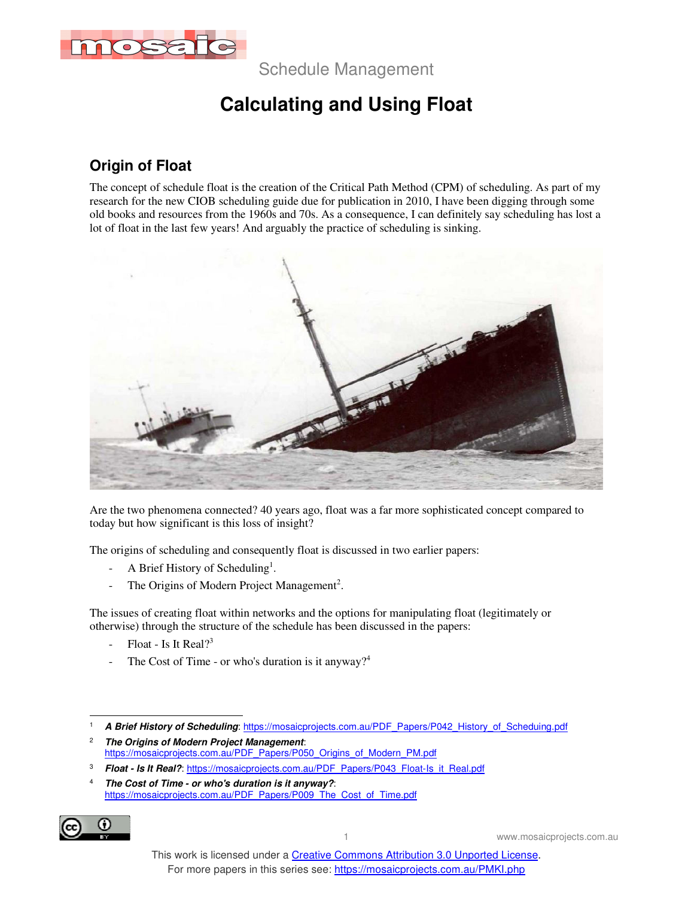

Schedule Management

# **Calculating and Using Float**

### **Origin of Float**

The concept of schedule float is the creation of the Critical Path Method (CPM) of scheduling. As part of my research for the new CIOB scheduling guide due for publication in 2010, I have been digging through some old books and resources from the 1960s and 70s. As a consequence, I can definitely say scheduling has lost a lot of float in the last few years! And arguably the practice of scheduling is sinking.



Are the two phenomena connected? 40 years ago, float was a far more sophisticated concept compared to today but how significant is this loss of insight?

The origins of scheduling and consequently float is discussed in two earlier papers:

- A Brief History of Scheduling<sup>1</sup>.
- The Origins of Modern Project Management<sup>2</sup>.

The issues of creating float within networks and the options for manipulating float (legitimately or otherwise) through the structure of the schedule has been discussed in the papers:

- Float Is It Real? $3^3$
- The Cost of Time or who's duration is it anyway?<sup>4</sup>

- 2 **The Origins of Modern Project Management**: https://mosaicprojects.com.au/PDF\_Papers/P050\_Origins\_of\_Modern\_PM.pdf
- 3 **Float - Is It Real?**: https://mosaicprojects.com.au/PDF\_Papers/P043\_Float-Is\_it\_Real.pdf

<sup>4</sup> **The Cost of Time - or who's duration is it anyway?**: https://mosaicprojects.com.au/PDF\_Papers/P009\_The\_Cost\_of\_Time.pdf



 $\overline{a}$ 1 **A Brief History of Scheduling**: https://mosaicprojects.com.au/PDF\_Papers/P042\_History\_of\_Scheduing.pdf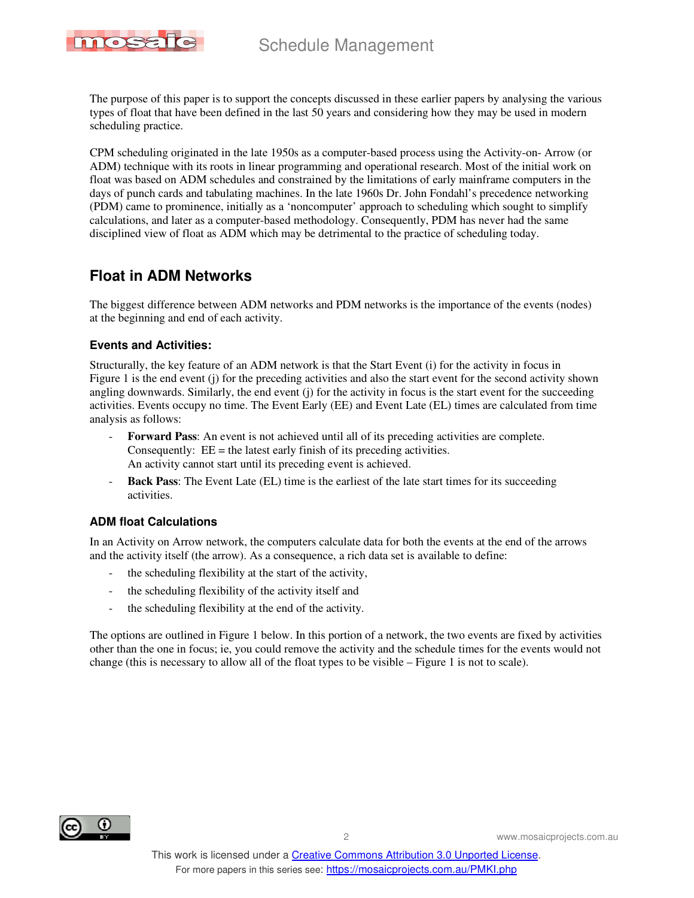# Schedule Management



The purpose of this paper is to support the concepts discussed in these earlier papers by analysing the various types of float that have been defined in the last 50 years and considering how they may be used in modern scheduling practice.

CPM scheduling originated in the late 1950s as a computer-based process using the Activity-on- Arrow (or ADM) technique with its roots in linear programming and operational research. Most of the initial work on float was based on ADM schedules and constrained by the limitations of early mainframe computers in the days of punch cards and tabulating machines. In the late 1960s Dr. John Fondahl's precedence networking (PDM) came to prominence, initially as a 'noncomputer' approach to scheduling which sought to simplify calculations, and later as a computer-based methodology. Consequently, PDM has never had the same disciplined view of float as ADM which may be detrimental to the practice of scheduling today.

### **Float in ADM Networks**

The biggest difference between ADM networks and PDM networks is the importance of the events (nodes) at the beginning and end of each activity.

#### **Events and Activities:**

Structurally, the key feature of an ADM network is that the Start Event (i) for the activity in focus in Figure 1 is the end event (j) for the preceding activities and also the start event for the second activity shown angling downwards. Similarly, the end event (j) for the activity in focus is the start event for the succeeding activities. Events occupy no time. The Event Early (EE) and Event Late (EL) times are calculated from time analysis as follows:

- **Forward Pass**: An event is not achieved until all of its preceding activities are complete. Consequently:  $EE =$  the latest early finish of its preceding activities. An activity cannot start until its preceding event is achieved.
- **Back Pass:** The Event Late (EL) time is the earliest of the late start times for its succeeding activities.

#### **ADM float Calculations**

In an Activity on Arrow network, the computers calculate data for both the events at the end of the arrows and the activity itself (the arrow). As a consequence, a rich data set is available to define:

- the scheduling flexibility at the start of the activity,
- the scheduling flexibility of the activity itself and
- the scheduling flexibility at the end of the activity.

The options are outlined in Figure 1 below. In this portion of a network, the two events are fixed by activities other than the one in focus; ie, you could remove the activity and the schedule times for the events would not change (this is necessary to allow all of the float types to be visible – Figure 1 is not to scale).

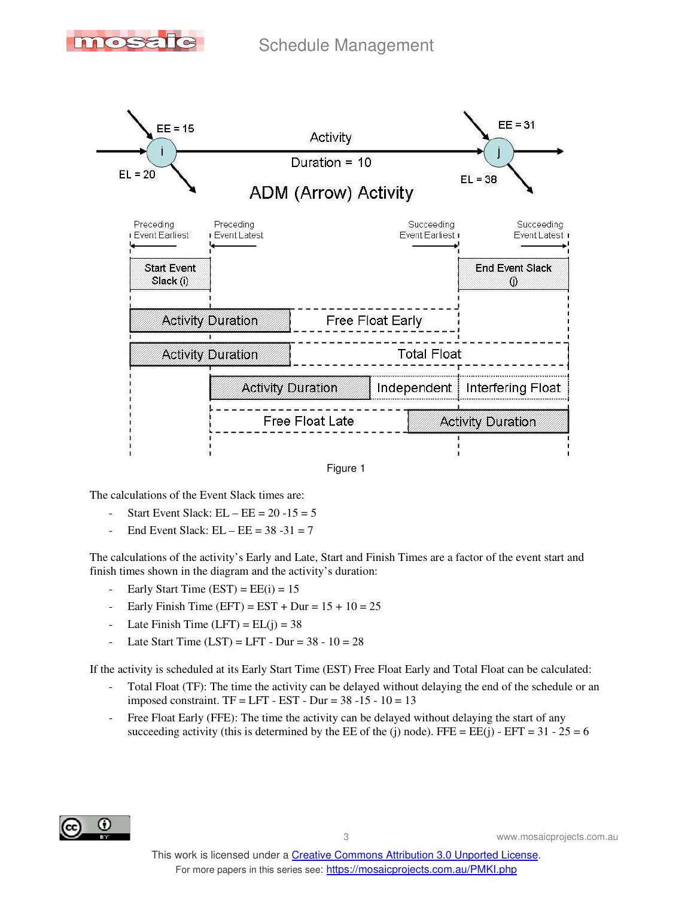





The calculations of the Event Slack times are:

- Start Event Slack:  $EL EE = 20 15 = 5$
- End Event Slack:  $EL EE = 38 31 = 7$

The calculations of the activity's Early and Late, Start and Finish Times are a factor of the event start and finish times shown in the diagram and the activity's duration:

- Early Start Time  $(EST) = EE(i) = 15$
- Early Finish Time (EFT) =  $EST + Dur = 15 + 10 = 25$
- Late Finish Time  $(LFT) = EL(j) = 38$
- Late Start Time  $(LST) = LFT Dur = 38 10 = 28$

If the activity is scheduled at its Early Start Time (EST) Free Float Early and Total Float can be calculated:

- Total Float (TF): The time the activity can be delayed without delaying the end of the schedule or an imposed constraint.  $TF = LFT - EST - Dur = 38 - 15 - 10 = 13$
- Free Float Early (FFE): The time the activity can be delayed without delaying the start of any succeeding activity (this is determined by the EE of the (j) node). FFE = EE(j) - EFT =  $31 - 25 = 6$

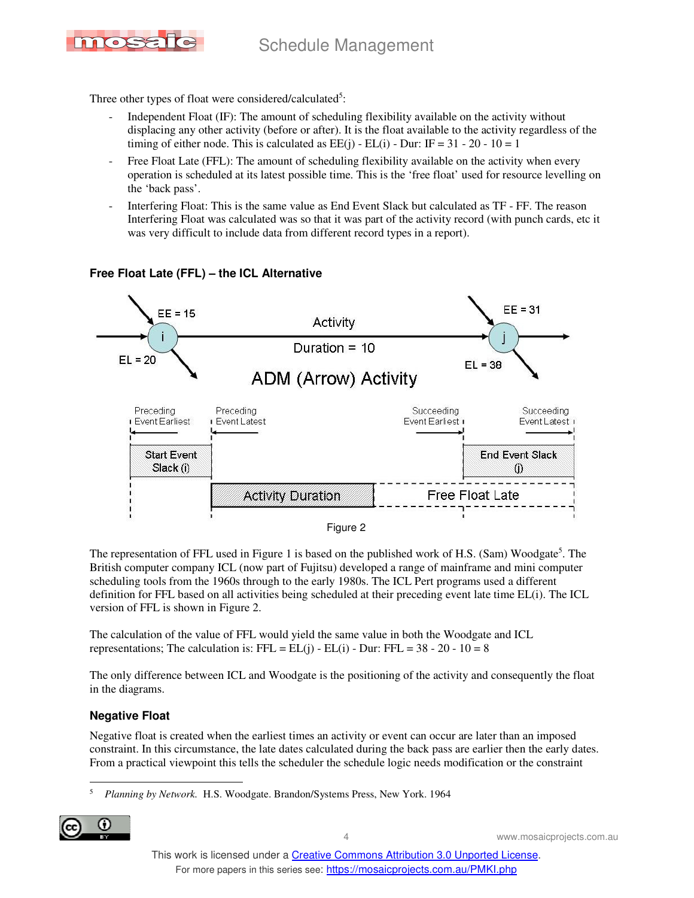

Three other types of float were considered/calculated<sup>5</sup>:

- Independent Float (IF): The amount of scheduling flexibility available on the activity without displacing any other activity (before or after). It is the float available to the activity regardless of the timing of either node. This is calculated as  $EE(i)$  -  $EL(i)$  - Dur: IF = 31 - 20 - 10 = 1
- Free Float Late (FFL): The amount of scheduling flexibility available on the activity when every operation is scheduled at its latest possible time. This is the 'free float' used for resource levelling on the 'back pass'.
- Interfering Float: This is the same value as End Event Slack but calculated as TF FF. The reason Interfering Float was calculated was so that it was part of the activity record (with punch cards, etc it was very difficult to include data from different record types in a report).



#### **Free Float Late (FFL) – the ICL Alternative**

The representation of FFL used in Figure 1 is based on the published work of H.S. (Sam) Woodgate<sup>5</sup>. The British computer company ICL (now part of Fujitsu) developed a range of mainframe and mini computer scheduling tools from the 1960s through to the early 1980s. The ICL Pert programs used a different definition for FFL based on all activities being scheduled at their preceding event late time EL(i). The ICL version of FFL is shown in Figure 2.

The calculation of the value of FFL would yield the same value in both the Woodgate and ICL representations; The calculation is:  $FFL = EL(j) - EL(i) - Dur$ :  $FFL = 38 - 20 - 10 = 8$ 

The only difference between ICL and Woodgate is the positioning of the activity and consequently the float in the diagrams.

#### **Negative Float**

Negative float is created when the earliest times an activity or event can occur are later than an imposed constraint. In this circumstance, the late dates calculated during the back pass are earlier then the early dates. From a practical viewpoint this tells the scheduler the schedule logic needs modification or the constraint

 $\overline{a}$ 5 *Planning by Network.* H.S. Woodgate. Brandon/Systems Press, New York. 1964

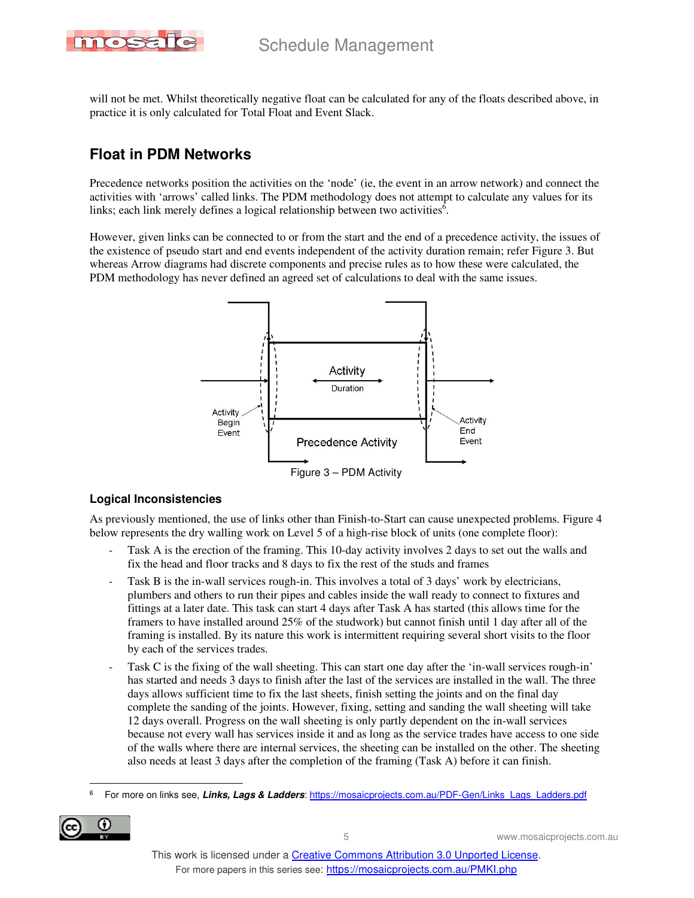

will not be met. Whilst theoretically negative float can be calculated for any of the floats described above, in practice it is only calculated for Total Float and Event Slack.

## **Float in PDM Networks**

Precedence networks position the activities on the 'node' (ie, the event in an arrow network) and connect the activities with 'arrows' called links. The PDM methodology does not attempt to calculate any values for its links; each link merely defines a logical relationship between two activities $6$ .

However, given links can be connected to or from the start and the end of a precedence activity, the issues of the existence of pseudo start and end events independent of the activity duration remain; refer Figure 3. But whereas Arrow diagrams had discrete components and precise rules as to how these were calculated, the PDM methodology has never defined an agreed set of calculations to deal with the same issues.



#### **Logical Inconsistencies**

As previously mentioned, the use of links other than Finish-to-Start can cause unexpected problems. Figure 4 below represents the dry walling work on Level 5 of a high-rise block of units (one complete floor):

- Task A is the erection of the framing. This 10-day activity involves 2 days to set out the walls and fix the head and floor tracks and 8 days to fix the rest of the studs and frames
- Task B is the in-wall services rough-in. This involves a total of 3 days' work by electricians, plumbers and others to run their pipes and cables inside the wall ready to connect to fixtures and fittings at a later date. This task can start 4 days after Task A has started (this allows time for the framers to have installed around 25% of the studwork) but cannot finish until 1 day after all of the framing is installed. By its nature this work is intermittent requiring several short visits to the floor by each of the services trades.
- Task C is the fixing of the wall sheeting. This can start one day after the 'in-wall services rough-in' has started and needs 3 days to finish after the last of the services are installed in the wall. The three days allows sufficient time to fix the last sheets, finish setting the joints and on the final day complete the sanding of the joints. However, fixing, setting and sanding the wall sheeting will take 12 days overall. Progress on the wall sheeting is only partly dependent on the in-wall services because not every wall has services inside it and as long as the service trades have access to one side of the walls where there are internal services, the sheeting can be installed on the other. The sheeting also needs at least 3 days after the completion of the framing (Task A) before it can finish.

 $\overline{a}$ 6 For more on links see, **Links, Lags & Ladders**: https://mosaicprojects.com.au/PDF-Gen/Links\_Lags\_Ladders.pdf

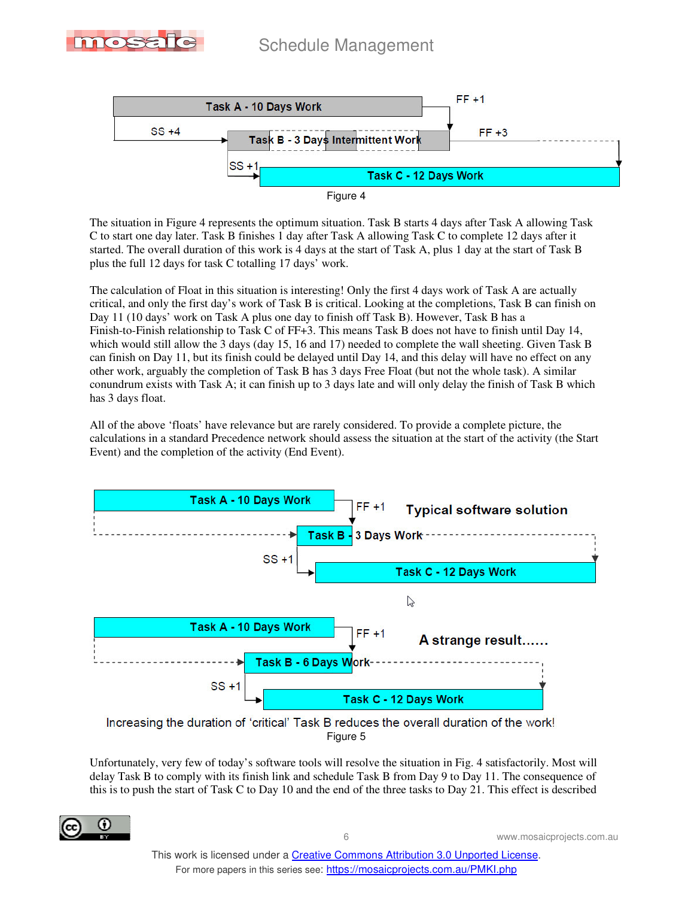





The situation in Figure 4 represents the optimum situation. Task B starts 4 days after Task A allowing Task C to start one day later. Task B finishes 1 day after Task A allowing Task C to complete 12 days after it started. The overall duration of this work is 4 days at the start of Task A, plus 1 day at the start of Task B plus the full 12 days for task C totalling 17 days' work.

The calculation of Float in this situation is interesting! Only the first 4 days work of Task A are actually critical, and only the first day's work of Task B is critical. Looking at the completions, Task B can finish on Day 11 (10 days' work on Task A plus one day to finish off Task B). However, Task B has a Finish-to-Finish relationship to Task C of FF+3. This means Task B does not have to finish until Day 14, which would still allow the 3 days (day 15, 16 and 17) needed to complete the wall sheeting. Given Task B can finish on Day 11, but its finish could be delayed until Day 14, and this delay will have no effect on any other work, arguably the completion of Task B has 3 days Free Float (but not the whole task). A similar conundrum exists with Task A; it can finish up to 3 days late and will only delay the finish of Task B which has 3 days float.

All of the above 'floats' have relevance but are rarely considered. To provide a complete picture, the calculations in a standard Precedence network should assess the situation at the start of the activity (the Start Event) and the completion of the activity (End Event).



Figure 5

Unfortunately, very few of today's software tools will resolve the situation in Fig. 4 satisfactorily. Most will delay Task B to comply with its finish link and schedule Task B from Day 9 to Day 11. The consequence of this is to push the start of Task C to Day 10 and the end of the three tasks to Day 21. This effect is described

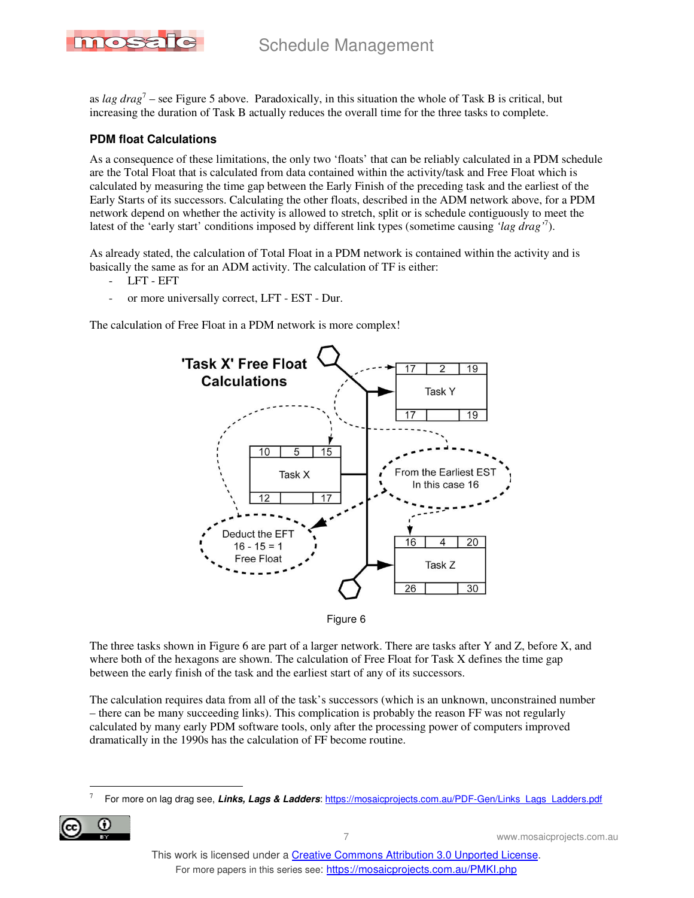

as *lag drag*<sup>7</sup> – see Figure 5 above. Paradoxically, in this situation the whole of Task B is critical, but increasing the duration of Task B actually reduces the overall time for the three tasks to complete.

#### **PDM float Calculations**

As a consequence of these limitations, the only two 'floats' that can be reliably calculated in a PDM schedule are the Total Float that is calculated from data contained within the activity/task and Free Float which is calculated by measuring the time gap between the Early Finish of the preceding task and the earliest of the Early Starts of its successors. Calculating the other floats, described in the ADM network above, for a PDM network depend on whether the activity is allowed to stretch, split or is schedule contiguously to meet the latest of the 'early start' conditions imposed by different link types (sometime causing *'lag drag'*<sup>7</sup> ).

As already stated, the calculation of Total Float in a PDM network is contained within the activity and is basically the same as for an ADM activity. The calculation of TF is either:

- LFT EFT
- or more universally correct, LFT EST Dur.

The calculation of Free Float in a PDM network is more complex!





The three tasks shown in Figure 6 are part of a larger network. There are tasks after Y and Z, before X, and where both of the hexagons are shown. The calculation of Free Float for Task X defines the time gap between the early finish of the task and the earliest start of any of its successors.

The calculation requires data from all of the task's successors (which is an unknown, unconstrained number – there can be many succeeding links). This complication is probably the reason FF was not regularly calculated by many early PDM software tools, only after the processing power of computers improved dramatically in the 1990s has the calculation of FF become routine.

<sup>7</sup> For more on lag drag see, **Links, Lags & Ladders**: https://mosaicprojects.com.au/PDF-Gen/Links\_Lags\_Ladders.pdf



 $\ddot{\phantom{a}}$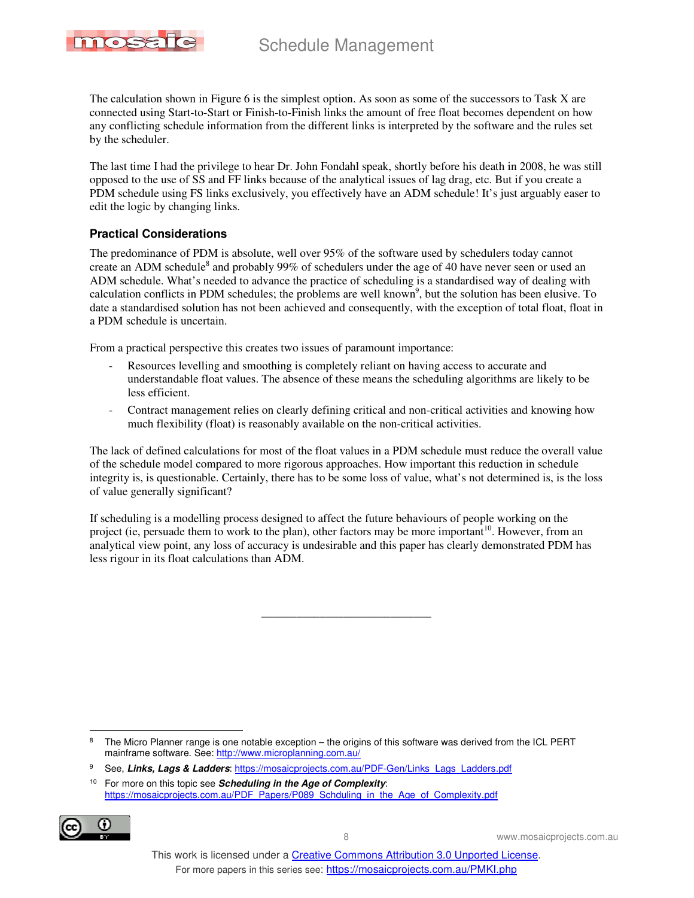

The calculation shown in Figure 6 is the simplest option. As soon as some of the successors to Task X are connected using Start-to-Start or Finish-to-Finish links the amount of free float becomes dependent on how any conflicting schedule information from the different links is interpreted by the software and the rules set by the scheduler.

The last time I had the privilege to hear Dr. John Fondahl speak, shortly before his death in 2008, he was still opposed to the use of SS and FF links because of the analytical issues of lag drag, etc. But if you create a PDM schedule using FS links exclusively, you effectively have an ADM schedule! It's just arguably easer to edit the logic by changing links.

#### **Practical Considerations**

The predominance of PDM is absolute, well over 95% of the software used by schedulers today cannot create an ADM schedule<sup>8</sup> and probably 99% of schedulers under the age of 40 have never seen or used an ADM schedule. What's needed to advance the practice of scheduling is a standardised way of dealing with calculation conflicts in PDM schedules; the problems are well known<sup>9</sup>, but the solution has been elusive. To date a standardised solution has not been achieved and consequently, with the exception of total float, float in a PDM schedule is uncertain.

From a practical perspective this creates two issues of paramount importance:

- Resources levelling and smoothing is completely reliant on having access to accurate and understandable float values. The absence of these means the scheduling algorithms are likely to be less efficient.
- Contract management relies on clearly defining critical and non-critical activities and knowing how much flexibility (float) is reasonably available on the non-critical activities.

The lack of defined calculations for most of the float values in a PDM schedule must reduce the overall value of the schedule model compared to more rigorous approaches. How important this reduction in schedule integrity is, is questionable. Certainly, there has to be some loss of value, what's not determined is, is the loss of value generally significant?

If scheduling is a modelling process designed to affect the future behaviours of people working on the project (ie, persuade them to work to the plan), other factors may be more important<sup>10</sup>. However, from an analytical view point, any loss of accuracy is undesirable and this paper has clearly demonstrated PDM has less rigour in its float calculations than ADM.

\_\_\_\_\_\_\_\_\_\_\_\_\_\_\_\_\_\_\_\_\_\_\_\_\_\_\_\_\_

8 The Micro Planner range is one notable exception – the origins of this software was derived from the ICL PERT mainframe software. See: http://www.microplanning.com.au/

<sup>10</sup> For more on this topic see **Scheduling in the Age of Complexity**: https://mosaicprojects.com.au/PDF\_Papers/P089\_Schduling\_in\_the\_Age\_of\_Complexity.pdf



 $\overline{a}$ 

<sup>9</sup> See, **Links, Lags & Ladders**: https://mosaicprojects.com.au/PDF-Gen/Links\_Lags\_Ladders.pdf